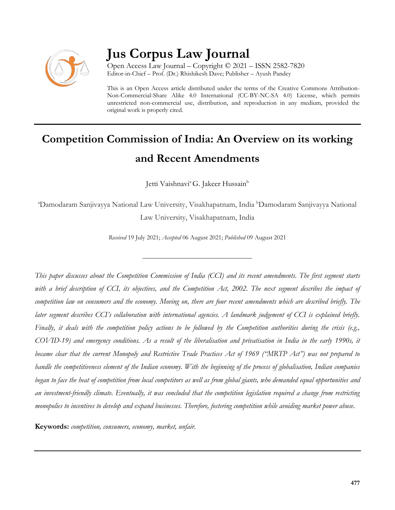

# **Jus Corpus Law Journal**

Open Access Law Journal – Copyright © 2021 – ISSN 2582-7820 Editor-in-Chief – Prof. (Dr.) Rhishikesh Dave; Publisher – Ayush Pandey

This is an Open Access article distributed under the terms of the Creative Commons Attribution-Non-Commercial-Share Alike 4.0 International (CC-BY-NC-SA 4.0) License, which permits unrestricted non-commercial use, distribution, and reproduction in any medium, provided the original work is properly cited.

# **Competition Commission of India: An Overview on its working and Recent Amendments**

Jetti Vaishnavi<sup>a</sup> G. Jakeer Hussain<sup>b</sup>

<sup>a</sup>Damodaram Sanjivayya National Law University, Visakhapatnam, India <sup>b</sup>Damodaram Sanjivayya National Law University, Visakhapatnam, India

*Received* 19 July 2021; *Accepted* 06 August 2021; *Published* 09 August 2021

\_\_\_\_\_\_\_\_\_\_\_\_\_\_\_\_\_\_\_\_\_\_\_\_\_\_\_\_\_\_\_\_\_\_

*This paper discusses about the Competition Commission of India (CCI) and its recent amendments. The first segment starts with a brief description of CCI, its objectives, and the Competition Act, 2002. The next segment describes the impact of competition law on consumers and the economy. Moving on, there are four recent amendments which are described briefly. The later segment describes CCI's collaboration with international agencies. A landmark judgement of CCI is explained briefly. Finally, it deals with the competition policy actions to be followed by the Competition authorities during the crisis (e.g., COVID-19) and emergency conditions. As a result of the liberalisation and privatisation in India in the early 1990s, it became clear that the current Monopoly and Restrictive Trade Practices Act of 1969 ("MRTP Act") was not prepared to handle the competitiveness element of the Indian economy. With the beginning of the process of globalisation, Indian companies began to face the heat of competition from local competitors as well as from global giants, who demanded equal opportunities and an investment-friendly climate. Eventually, it was concluded that the competition legislation required a change from restricting monopolies to incentives to develop and expand businesses. Therefore, fostering competition while avoiding market power abuse.*

**Keywords:** *competition, consumers, economy, market, unfair.*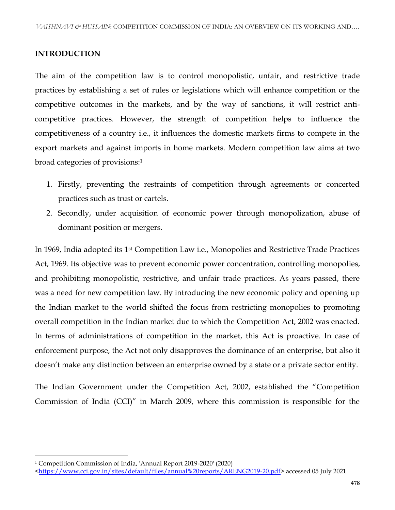#### **INTRODUCTION**

The aim of the competition law is to control monopolistic, unfair, and restrictive trade practices by establishing a set of rules or legislations which will enhance competition or the competitive outcomes in the markets, and by the way of sanctions, it will restrict anticompetitive practices. However, the strength of competition helps to influence the competitiveness of a country i.e., it influences the domestic markets firms to compete in the export markets and against imports in home markets. Modern competition law aims at two broad categories of provisions:<sup>1</sup>

- 1. Firstly, preventing the restraints of competition through agreements or concerted practices such as trust or cartels.
- 2. Secondly, under acquisition of economic power through monopolization, abuse of dominant position or mergers.

In 1969, India adopted its 1st Competition Law i.e., Monopolies and Restrictive Trade Practices Act, 1969. Its objective was to prevent economic power concentration, controlling monopolies, and prohibiting monopolistic, restrictive, and unfair trade practices. As years passed, there was a need for new competition law. By introducing the new economic policy and opening up the Indian market to the world shifted the focus from restricting monopolies to promoting overall competition in the Indian market due to which the Competition Act, 2002 was enacted. In terms of administrations of competition in the market, this Act is proactive. In case of enforcement purpose, the Act not only disapproves the dominance of an enterprise, but also it doesn't make any distinction between an enterprise owned by a state or a private sector entity.

The Indian Government under the Competition Act, 2002, established the "Competition Commission of India (CCI)" in March 2009, where this commission is responsible for the

l

<sup>1</sup> Competition Commission of India, 'Annual Report 2019-2020' (2020)

[<sup>&</sup>lt;https://www.cci.gov.in/sites/default/files/annual%20reports/ARENG2019-20.pdf>](https://www.cci.gov.in/sites/default/files/annual%20reports/ARENG2019-20.pdf) accessed 05 July 2021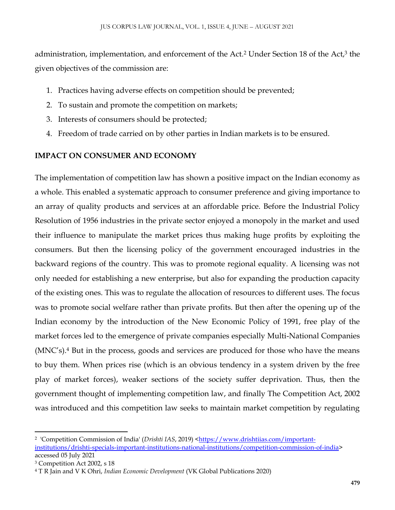administration, implementation, and enforcement of the Act.<sup>2</sup> Under Section 18 of the Act,<sup>3</sup> the given objectives of the commission are:

- 1. Practices having adverse effects on competition should be prevented;
- 2. To sustain and promote the competition on markets;
- 3. Interests of consumers should be protected;
- 4. Freedom of trade carried on by other parties in Indian markets is to be ensured.

# **IMPACT ON CONSUMER AND ECONOMY**

The implementation of competition law has shown a positive impact on the Indian economy as a whole. This enabled a systematic approach to consumer preference and giving importance to an array of quality products and services at an affordable price. Before the Industrial Policy Resolution of 1956 industries in the private sector enjoyed a monopoly in the market and used their influence to manipulate the market prices thus making huge profits by exploiting the consumers. But then the licensing policy of the government encouraged industries in the backward regions of the country. This was to promote regional equality. A licensing was not only needed for establishing a new enterprise, but also for expanding the production capacity of the existing ones. This was to regulate the allocation of resources to different uses. The focus was to promote social welfare rather than private profits. But then after the opening up of the Indian economy by the introduction of the New Economic Policy of 1991, free play of the market forces led to the emergence of private companies especially Multi-National Companies (MNC's).<sup>4</sup> But in the process, goods and services are produced for those who have the means to buy them. When prices rise (which is an obvious tendency in a system driven by the free play of market forces), weaker sections of the society suffer deprivation. Thus, then the government thought of implementing competition law, and finally The Competition Act, 2002 was introduced and this competition law seeks to maintain market competition by regulating

 $\overline{\phantom{a}}$ <sup>2</sup> 'Competition Commission of India' (*Drishti IAS,* 2019) <<u>https://www.drishtiias.com/important-</u> [institutions/drishti-specials-important-institutions-national-institutions/competition-commission-of-india>](https://www.drishtiias.com/important-institutions/drishti-specials-important-institutions-national-institutions/competition-commission-of-india) accessed 05 July 2021

<sup>3</sup> Competition Act 2002, s 18

<sup>4</sup> T R Jain and V K Ohri, *Indian Economic Development* (VK Global Publications 2020)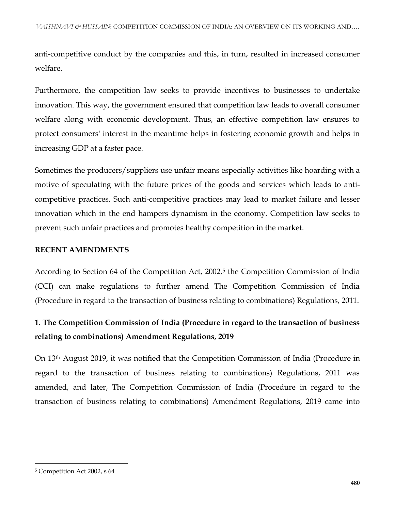anti-competitive conduct by the companies and this, in turn, resulted in increased consumer welfare.

Furthermore, the competition law seeks to provide incentives to businesses to undertake innovation. This way, the government ensured that competition law leads to overall consumer welfare along with economic development. Thus, an effective competition law ensures to protect consumers' interest in the meantime helps in fostering economic growth and helps in increasing GDP at a faster pace.

Sometimes the producers/suppliers use unfair means especially activities like hoarding with a motive of speculating with the future prices of the goods and services which leads to anticompetitive practices. Such anti-competitive practices may lead to market failure and lesser innovation which in the end hampers dynamism in the economy. Competition law seeks to prevent such unfair practices and promotes healthy competition in the market.

#### **RECENT AMENDMENTS**

According to Section 64 of the Competition Act, 2002,<sup>5</sup> the Competition Commission of India (CCI) can make regulations to further amend The Competition Commission of India (Procedure in regard to the transaction of business relating to combinations) Regulations, 2011.

# **1. The Competition Commission of India (Procedure in regard to the transaction of business relating to combinations) Amendment Regulations, 2019**

On 13th August 2019, it was notified that the Competition Commission of India (Procedure in regard to the transaction of business relating to combinations) Regulations, 2011 was amended, and later, The Competition Commission of India (Procedure in regard to the transaction of business relating to combinations) Amendment Regulations, 2019 came into

l

<sup>5</sup> Competition Act 2002, s 64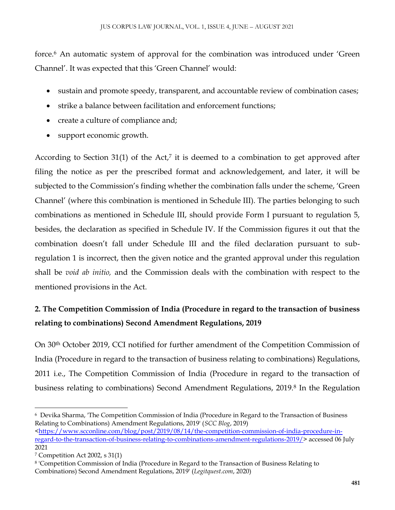force.<sup>6</sup> An automatic system of approval for the combination was introduced under 'Green Channel'. It was expected that this 'Green Channel' would:

- sustain and promote speedy, transparent, and accountable review of combination cases;
- strike a balance between facilitation and enforcement functions;
- create a culture of compliance and;
- support economic growth.

According to Section  $31(1)$  of the Act,<sup>7</sup> it is deemed to a combination to get approved after filing the notice as per the prescribed format and acknowledgement, and later, it will be subjected to the Commission's finding whether the combination falls under the scheme, 'Green Channel' (where this combination is mentioned in Schedule III). The parties belonging to such combinations as mentioned in Schedule III, should provide Form I pursuant to regulation 5, besides, the declaration as specified in Schedule IV. If the Commission figures it out that the combination doesn't fall under Schedule III and the filed declaration pursuant to subregulation 1 is incorrect, then the given notice and the granted approval under this regulation shall be *void ab initio,* and the Commission deals with the combination with respect to the mentioned provisions in the Act.

# **2. The Competition Commission of India (Procedure in regard to the transaction of business relating to combinations) Second Amendment Regulations, 2019**

On 30th October 2019, CCI notified for further amendment of the Competition Commission of India (Procedure in regard to the transaction of business relating to combinations) Regulations, 2011 i.e., The Competition Commission of India (Procedure in regard to the transaction of business relating to combinations) Second Amendment Regulations, 2019.<sup>8</sup> In the Regulation

 $\overline{\phantom{a}}$ 6 Devika Sharma, 'The Competition Commission of India (Procedure in Regard to the Transaction of Business Relating to Combinations) Amendment Regulations, 2019' (*SCC Blog*, 2019)

[<sup>&</sup>lt;https://www.scconline.com/blog/post/2019/08/14/the-competition-commission-of-india-procedure-in](https://www.scconline.com/blog/post/2019/08/14/the-competition-commission-of-india-procedure-in-regard-to-the-transaction-of-business-relating-to-combinations-amendment-regulations-2019/)[regard-to-the-transaction-of-business-relating-to-combinations-amendment-regulations-2019/>](https://www.scconline.com/blog/post/2019/08/14/the-competition-commission-of-india-procedure-in-regard-to-the-transaction-of-business-relating-to-combinations-amendment-regulations-2019/) accessed 06 July 2021

<sup>7</sup> Competition Act 2002, s 31(1)

<sup>8</sup> 'Competition Commission of India (Procedure in Regard to the Transaction of Business Relating to Combinations) Second Amendment Regulations, 2019' (*Legitquest.com*, 2020)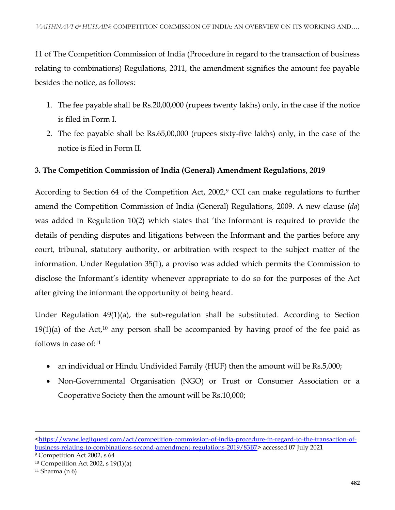11 of The Competition Commission of India (Procedure in regard to the transaction of business relating to combinations) Regulations, 2011, the amendment signifies the amount fee payable besides the notice, as follows:

- 1. The fee payable shall be Rs.20,00,000 (rupees twenty lakhs) only, in the case if the notice is filed in Form I.
- 2. The fee payable shall be Rs.65,00,000 (rupees sixty-five lakhs) only, in the case of the notice is filed in Form II.

## **3. The Competition Commission of India (General) Amendment Regulations, 2019**

According to Section 64 of the Competition Act, 2002,<sup>9</sup> CCI can make regulations to further amend the Competition Commission of India (General) Regulations, 2009. A new clause (*da*) was added in Regulation 10(2) which states that 'the Informant is required to provide the details of pending disputes and litigations between the Informant and the parties before any court, tribunal, statutory authority, or arbitration with respect to the subject matter of the information. Under Regulation 35(1), a proviso was added which permits the Commission to disclose the Informant's identity whenever appropriate to do so for the purposes of the Act after giving the informant the opportunity of being heard.

Under Regulation 49(1)(a), the sub-regulation shall be substituted. According to Section  $19(1)(a)$  of the Act,<sup>10</sup> any person shall be accompanied by having proof of the fee paid as follows in case of:<sup>11</sup>

- an individual or Hindu Undivided Family (HUF) then the amount will be Rs.5,000;
- Non-Governmental Organisation (NGO) or Trust or Consumer Association or a Cooperative Society then the amount will be Rs.10,000;

 $\overline{\phantom{a}}$ 

[<sup>&</sup>lt;https://www.legitquest.com/act/competition-commission-of-india-procedure-in-regard-to-the-transaction-of](https://www.legitquest.com/act/competition-commission-of-india-procedure-in-regard-to-the-transaction-of-business-relating-to-combinations-second-amendment-regulations-2019/83B7)[business-relating-to-combinations-second-amendment-regulations-2019/83B7>](https://www.legitquest.com/act/competition-commission-of-india-procedure-in-regard-to-the-transaction-of-business-relating-to-combinations-second-amendment-regulations-2019/83B7) accessed 07 July 2021

<sup>9</sup> Competition Act 2002, s 64

<sup>10</sup> Competition Act 2002, s 19(1)(a)

 $11$  Sharma (n 6)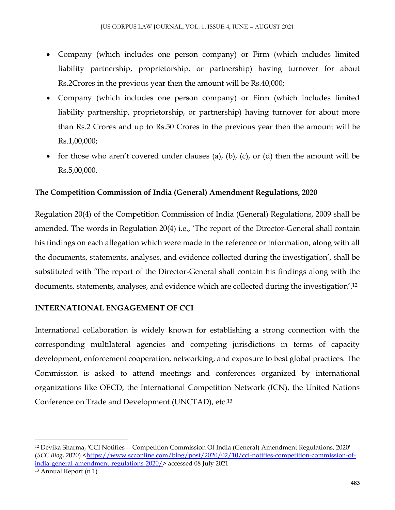- Company (which includes one person company) or Firm (which includes limited liability partnership, proprietorship, or partnership) having turnover for about Rs.2Crores in the previous year then the amount will be Rs.40,000;
- Company (which includes one person company) or Firm (which includes limited liability partnership, proprietorship, or partnership) having turnover for about more than Rs.2 Crores and up to Rs.50 Crores in the previous year then the amount will be Rs.1,00,000;
- for those who aren't covered under clauses (a), (b), (c), or (d) then the amount will be Rs.5,00,000.

### **The Competition Commission of India (General) Amendment Regulations, 2020**

Regulation 20(4) of the Competition Commission of India (General) Regulations, 2009 shall be amended. The words in Regulation 20(4) i.e., 'The report of the Director-General shall contain his findings on each allegation which were made in the reference or information, along with all the documents, statements, analyses, and evidence collected during the investigation', shall be substituted with 'The report of the Director-General shall contain his findings along with the documents, statements, analyses, and evidence which are collected during the investigation'.<sup>12</sup>

### **INTERNATIONAL ENGAGEMENT OF CCI**

International collaboration is widely known for establishing a strong connection with the corresponding multilateral agencies and competing jurisdictions in terms of capacity development, enforcement cooperation, networking, and exposure to best global practices. The Commission is asked to attend meetings and conferences organized by international organizations like OECD, the International Competition Network (ICN), the United Nations Conference on Trade and Development (UNCTAD), etc.<sup>13</sup>

 $\overline{a}$ 

<sup>12</sup> Devika Sharma, 'CCI Notifies -- Competition Commission Of India (General) Amendment Regulations, 2020' (*SCC Blog*, 2020) [<https://www.scconline.com/blog/post/2020/02/10/cci-notifies-competition-commission-of](https://www.scconline.com/blog/post/2020/02/10/cci-notifies-competition-commission-of-india-general-amendment-regulations-2020/)[india-general-amendment-regulations-2020/>](https://www.scconline.com/blog/post/2020/02/10/cci-notifies-competition-commission-of-india-general-amendment-regulations-2020/) accessed 08 July 2021

<sup>13</sup> Annual Report (n 1)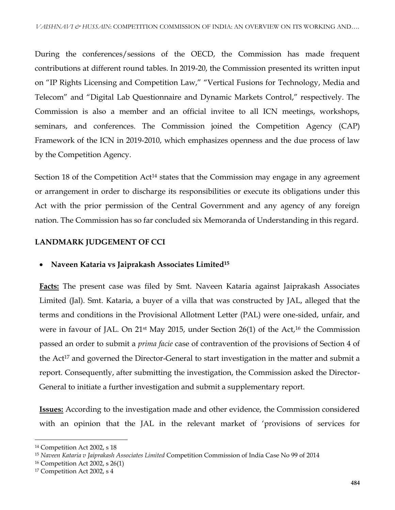During the conferences/sessions of the OECD, the Commission has made frequent contributions at different round tables. In 2019-20, the Commission presented its written input on "IP Rights Licensing and Competition Law," "Vertical Fusions for Technology, Media and Telecom" and "Digital Lab Questionnaire and Dynamic Markets Control," respectively. The Commission is also a member and an official invitee to all ICN meetings, workshops, seminars, and conferences. The Commission joined the Competition Agency (CAP) Framework of the ICN in 2019-2010, which emphasizes openness and the due process of law by the Competition Agency.

Section 18 of the Competition Act<sup>14</sup> states that the Commission may engage in any agreement or arrangement in order to discharge its responsibilities or execute its obligations under this Act with the prior permission of the Central Government and any agency of any foreign nation. The Commission has so far concluded six Memoranda of Understanding in this regard.

#### **LANDMARK JUDGEMENT OF CCI**

#### **Naveen Kataria vs Jaiprakash Associates Limited<sup>15</sup>**

**Facts:** The present case was filed by Smt. Naveen Kataria against Jaiprakash Associates Limited (Jal). Smt. Kataria, a buyer of a villa that was constructed by JAL, alleged that the terms and conditions in the Provisional Allotment Letter (PAL) were one-sided, unfair, and were in favour of JAL. On 21st May 2015, under Section 26(1) of the Act,<sup>16</sup> the Commission passed an order to submit a *prima facie* case of contravention of the provisions of Section 4 of the Act<sup>17</sup> and governed the Director-General to start investigation in the matter and submit a report. Consequently, after submitting the investigation, the Commission asked the Director-General to initiate a further investigation and submit a supplementary report.

**Issues:** According to the investigation made and other evidence, the Commission considered with an opinion that the JAL in the relevant market of 'provisions of services for

 $\overline{a}$ 

<sup>14</sup> Competition Act 2002, s 18

<sup>15</sup> *Naveen Kataria v Jaiprakash Associates Limited* Competition Commission of India Case No 99 of 2014

<sup>16</sup> Competition Act 2002, s 26(1)

<sup>&</sup>lt;sup>17</sup> Competition Act 2002, s 4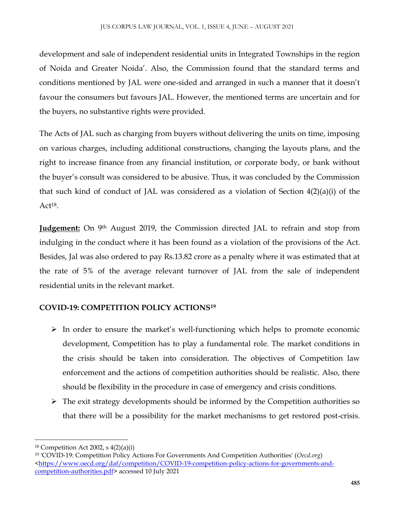development and sale of independent residential units in Integrated Townships in the region of Noida and Greater Noida'. Also, the Commission found that the standard terms and conditions mentioned by JAL were one-sided and arranged in such a manner that it doesn't favour the consumers but favours JAL. However, the mentioned terms are uncertain and for the buyers, no substantive rights were provided.

The Acts of JAL such as charging from buyers without delivering the units on time, imposing on various charges, including additional constructions, changing the layouts plans, and the right to increase finance from any financial institution, or corporate body, or bank without the buyer's consult was considered to be abusive. Thus, it was concluded by the Commission that such kind of conduct of JAL was considered as a violation of Section 4(2)(a)(i) of the  $Act^{18}$ .

**Judgement:** On 9th August 2019, the Commission directed JAL to refrain and stop from indulging in the conduct where it has been found as a violation of the provisions of the Act. Besides, Jal was also ordered to pay Rs.13.82 crore as a penalty where it was estimated that at the rate of 5% of the average relevant turnover of JAL from the sale of independent residential units in the relevant market.

# **COVID-19: COMPETITION POLICY ACTIONS<sup>19</sup>**

- $\triangleright$  In order to ensure the market's well-functioning which helps to promote economic development, Competition has to play a fundamental role. The market conditions in the crisis should be taken into consideration. The objectives of Competition law enforcement and the actions of competition authorities should be realistic. Also, there should be flexibility in the procedure in case of emergency and crisis conditions.
- $\triangleright$  The exit strategy developments should be informed by the Competition authorities so that there will be a possibility for the market mechanisms to get restored post-crisis.

 $\overline{a}$  $18$  Competition Act 2002, s  $4(2)(a)(i)$ 

<sup>19</sup> 'COVID-19: Competition Policy Actions For Governments And Competition Authorities' (*Oecd.org*)  $\frac{\text{thttps}}{\text{m}}$  www.oecd.org/daf/competition/COVID-19-competition-policy-actions-for-governments-and[competition-authorities.pdf>](https://www.oecd.org/daf/competition/COVID-19-competition-policy-actions-for-governments-and-competition-authorities.pdf) accessed 10 July 2021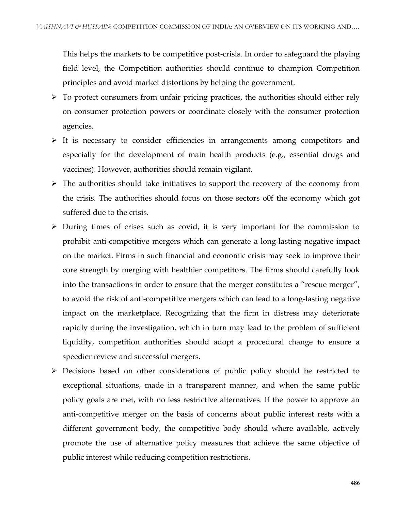This helps the markets to be competitive post-crisis. In order to safeguard the playing field level, the Competition authorities should continue to champion Competition principles and avoid market distortions by helping the government.

- $\triangleright$  To protect consumers from unfair pricing practices, the authorities should either rely on consumer protection powers or coordinate closely with the consumer protection agencies.
- $\triangleright$  It is necessary to consider efficiencies in arrangements among competitors and especially for the development of main health products (e.g., essential drugs and vaccines). However, authorities should remain vigilant.
- $\triangleright$  The authorities should take initiatives to support the recovery of the economy from the crisis. The authorities should focus on those sectors o0f the economy which got suffered due to the crisis.
- $\triangleright$  During times of crises such as covid, it is very important for the commission to prohibit anti-competitive mergers which can generate a long-lasting negative impact on the market. Firms in such financial and economic crisis may seek to improve their core strength by merging with healthier competitors. The firms should carefully look into the transactions in order to ensure that the merger constitutes a "rescue merger", to avoid the risk of anti-competitive mergers which can lead to a long-lasting negative impact on the marketplace. Recognizing that the firm in distress may deteriorate rapidly during the investigation, which in turn may lead to the problem of sufficient liquidity, competition authorities should adopt a procedural change to ensure a speedier review and successful mergers.
- Decisions based on other considerations of public policy should be restricted to exceptional situations, made in a transparent manner, and when the same public policy goals are met, with no less restrictive alternatives. If the power to approve an anti-competitive merger on the basis of concerns about public interest rests with a different government body, the competitive body should where available, actively promote the use of alternative policy measures that achieve the same objective of public interest while reducing competition restrictions.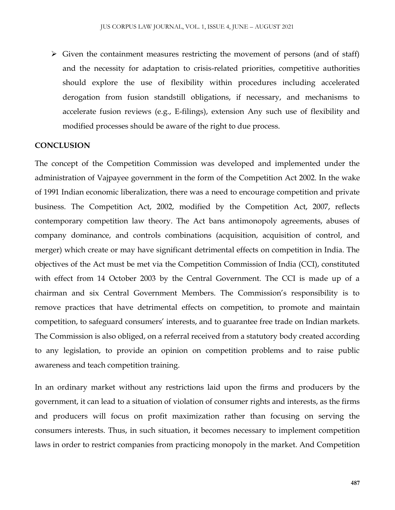$\triangleright$  Given the containment measures restricting the movement of persons (and of staff) and the necessity for adaptation to crisis-related priorities, competitive authorities should explore the use of flexibility within procedures including accelerated derogation from fusion standstill obligations, if necessary, and mechanisms to accelerate fusion reviews (e.g., E-filings), extension Any such use of flexibility and modified processes should be aware of the right to due process.

#### **CONCLUSION**

The concept of the Competition Commission was developed and implemented under the administration of Vajpayee government in the form of the Competition Act 2002. In the wake of 1991 Indian economic liberalization, there was a need to encourage competition and private business. The Competition Act, 2002, modified by the Competition Act, 2007, reflects contemporary competition law theory. The Act bans antimonopoly agreements, abuses of company dominance, and controls combinations (acquisition, acquisition of control, and merger) which create or may have significant detrimental effects on competition in India. The objectives of the Act must be met via the Competition Commission of India (CCI), constituted with effect from 14 October 2003 by the Central Government. The CCI is made up of a chairman and six Central Government Members. The Commission's responsibility is to remove practices that have detrimental effects on competition, to promote and maintain competition, to safeguard consumers' interests, and to guarantee free trade on Indian markets. The Commission is also obliged, on a referral received from a statutory body created according to any legislation, to provide an opinion on competition problems and to raise public awareness and teach competition training.

In an ordinary market without any restrictions laid upon the firms and producers by the government, it can lead to a situation of violation of consumer rights and interests, as the firms and producers will focus on profit maximization rather than focusing on serving the consumers interests. Thus, in such situation, it becomes necessary to implement competition laws in order to restrict companies from practicing monopoly in the market. And Competition